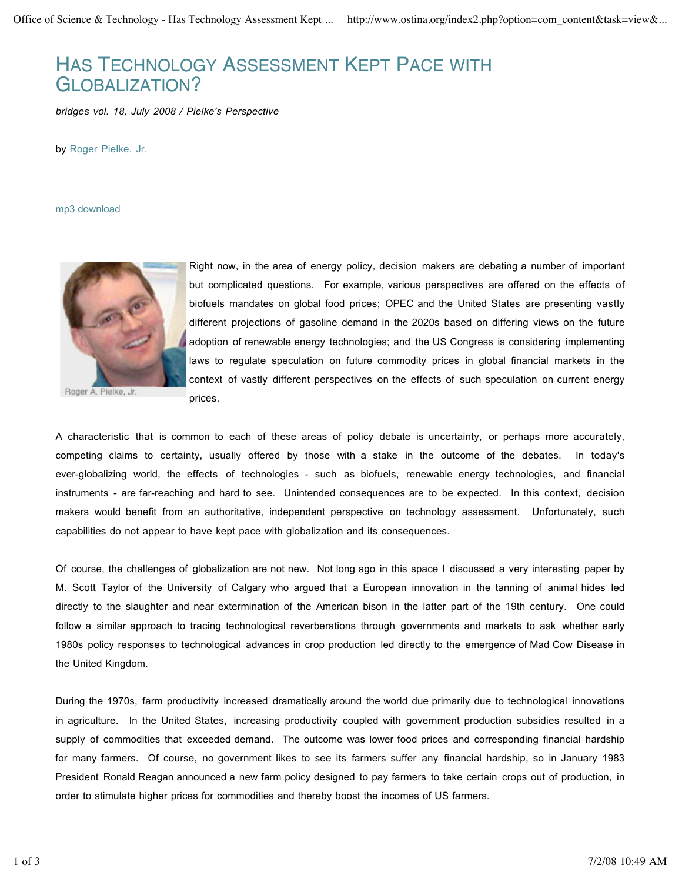## HAS TECHNOLOGY ASSESSMENT KEPT PACE WITH GLOBALIZATION?

*bridges vol. 18, July 2008 / Pielke's Perspective*

by Roger Pielke, Jr.

mp3 download



Roger A. Pielke, Jr.

Right now, in the area of energy policy, decision makers are debating a number of important but complicated questions. For example, various perspectives are offered on the effects of biofuels mandates on global food prices; OPEC and the United States are presenting vastly different projections of gasoline demand in the 2020s based on differing views on the future adoption of renewable energy technologies; and the US Congress is considering implementing laws to regulate speculation on future commodity prices in global financial markets in the context of vastly different perspectives on the effects of such speculation on current energy prices.

A characteristic that is common to each of these areas of policy debate is uncertainty, or perhaps more accurately, competing claims to certainty, usually offered by those with a stake in the outcome of the debates. In today's ever-globalizing world, the effects of technologies - such as biofuels, renewable energy technologies, and financial instruments - are far-reaching and hard to see. Unintended consequences are to be expected. In this context, decision makers would benefit from an authoritative, independent perspective on technology assessment. Unfortunately, such capabilities do not appear to have kept pace with globalization and its consequences.

Of course, the challenges of globalization are not new. Not long ago in this space I discussed a very interesting paper by M. Scott Taylor of the University of Calgary who argued that a European innovation in the tanning of animal hides led directly to the slaughter and near extermination of the American bison in the latter part of the 19th century. One could follow a similar approach to tracing technological reverberations through governments and markets to ask whether early 1980s policy responses to technological advances in crop production led directly to the emergence of Mad Cow Disease in the United Kingdom.

During the 1970s, farm productivity increased dramatically around the world due primarily due to technological innovations in agriculture. In the United States, increasing productivity coupled with government production subsidies resulted in a supply of commodities that exceeded demand. The outcome was lower food prices and corresponding financial hardship for many farmers. Of course, no government likes to see its farmers suffer any financial hardship, so in January 1983 President Ronald Reagan announced a new farm policy designed to pay farmers to take certain crops out of production, in order to stimulate higher prices for commodities and thereby boost the incomes of US farmers.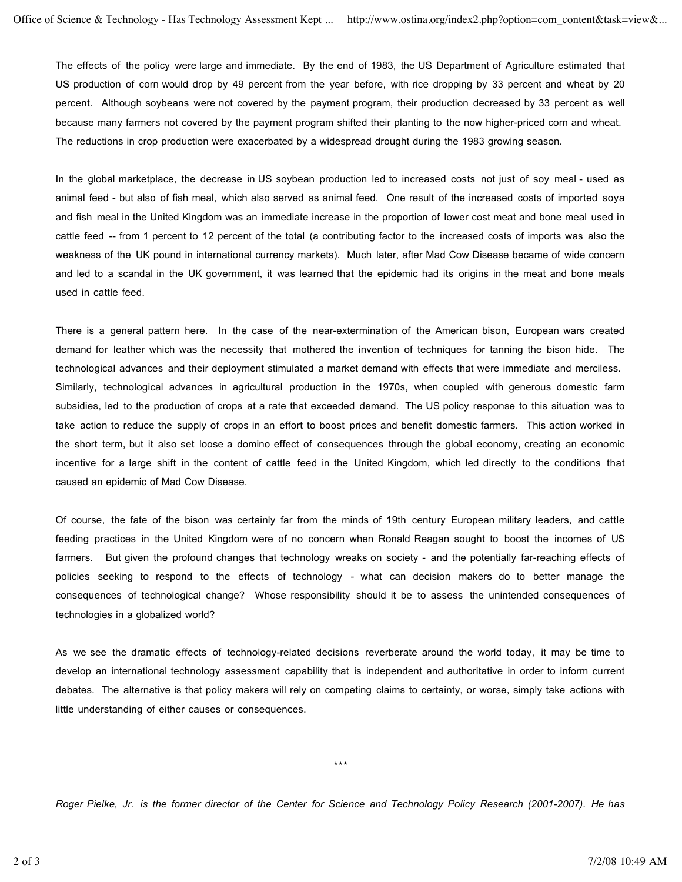The effects of the policy were large and immediate. By the end of 1983, the US Department of Agriculture estimated that US production of corn would drop by 49 percent from the year before, with rice dropping by 33 percent and wheat by 20 percent. Although soybeans were not covered by the payment program, their production decreased by 33 percent as well because many farmers not covered by the payment program shifted their planting to the now higher-priced corn and wheat. The reductions in crop production were exacerbated by a widespread drought during the 1983 growing season.

In the global marketplace, the decrease in US soybean production led to increased costs not just of soy meal - used as animal feed - but also of fish meal, which also served as animal feed. One result of the increased costs of imported soya and fish meal in the United Kingdom was an immediate increase in the proportion of lower cost meat and bone meal used in cattle feed -- from 1 percent to 12 percent of the total (a contributing factor to the increased costs of imports was also the weakness of the UK pound in international currency markets). Much later, after Mad Cow Disease became of wide concern and led to a scandal in the UK government, it was learned that the epidemic had its origins in the meat and bone meals used in cattle feed.

There is a general pattern here. In the case of the near-extermination of the American bison, European wars created demand for leather which was the necessity that mothered the invention of techniques for tanning the bison hide. The technological advances and their deployment stimulated a market demand with effects that were immediate and merciless. Similarly, technological advances in agricultural production in the 1970s, when coupled with generous domestic farm subsidies, led to the production of crops at a rate that exceeded demand. The US policy response to this situation was to take action to reduce the supply of crops in an effort to boost prices and benefit domestic farmers. This action worked in the short term, but it also set loose a domino effect of consequences through the global economy, creating an economic incentive for a large shift in the content of cattle feed in the United Kingdom, which led directly to the conditions that caused an epidemic of Mad Cow Disease.

Of course, the fate of the bison was certainly far from the minds of 19th century European military leaders, and cattle feeding practices in the United Kingdom were of no concern when Ronald Reagan sought to boost the incomes of US farmers. But given the profound changes that technology wreaks on society - and the potentially far-reaching effects of policies seeking to respond to the effects of technology - what can decision makers do to better manage the consequences of technological change? Whose responsibility should it be to assess the unintended consequences of technologies in a globalized world?

As we see the dramatic effects of technology-related decisions reverberate around the world today, it may be time to develop an international technology assessment capability that is independent and authoritative in order to inform current debates. The alternative is that policy makers will rely on competing claims to certainty, or worse, simply take actions with little understanding of either causes or consequences.

\*\*\*